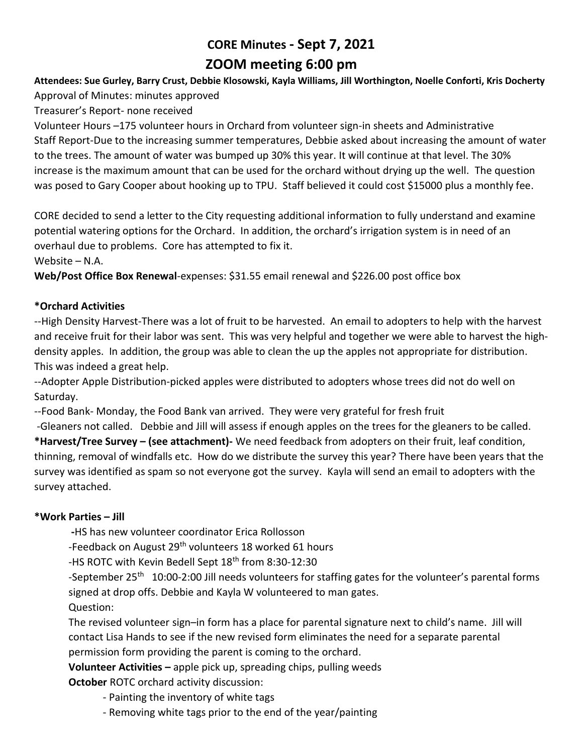# **CORE Minutes - Sept 7, 2021 ZOOM meeting 6:00 pm**

#### **Attendees: Sue Gurley, Barry Crust, Debbie Klosowski, Kayla Williams, Jill Worthington, Noelle Conforti, Kris Docherty** Approval of Minutes: minutes approved

Treasurer's Report- none received

Volunteer Hours –175 volunteer hours in Orchard from volunteer sign-in sheets and Administrative Staff Report-Due to the increasing summer temperatures, Debbie asked about increasing the amount of water to the trees. The amount of water was bumped up 30% this year. It will continue at that level. The 30% increase is the maximum amount that can be used for the orchard without drying up the well. The question was posed to Gary Cooper about hooking up to TPU. Staff believed it could cost \$15000 plus a monthly fee.

CORE decided to send a letter to the City requesting additional information to fully understand and examine potential watering options for the Orchard. In addition, the orchard's irrigation system is in need of an overhaul due to problems. Core has attempted to fix it.

Website – N.A.

**Web/Post Office Box Renewal**-expenses: \$31.55 email renewal and \$226.00 post office box

# **\*Orchard Activities**

--High Density Harvest-There was a lot of fruit to be harvested. An email to adopters to help with the harvest and receive fruit for their labor was sent. This was very helpful and together we were able to harvest the highdensity apples. In addition, the group was able to clean the up the apples not appropriate for distribution. This was indeed a great help.

--Adopter Apple Distribution-picked apples were distributed to adopters whose trees did not do well on Saturday.

--Food Bank- Monday, the Food Bank van arrived. They were very grateful for fresh fruit

-Gleaners not called. Debbie and Jill will assess if enough apples on the trees for the gleaners to be called.

**\*Harvest/Tree Survey – (see attachment)-** We need feedback from adopters on their fruit, leaf condition, thinning, removal of windfalls etc. How do we distribute the survey this year? There have been years that the survey was identified as spam so not everyone got the survey. Kayla will send an email to adopters with the survey attached.

# **\*Work Parties – Jill**

**-**HS has new volunteer coordinator Erica Rollosson

-Feedback on August 29<sup>th</sup> volunteers 18 worked 61 hours

-HS ROTC with Kevin Bedell Sept 18<sup>th</sup> from 8:30-12:30

-September 25<sup>th</sup> 10:00-2:00 Jill needs volunteers for staffing gates for the volunteer's parental forms signed at drop offs. Debbie and Kayla W volunteered to man gates. Question:

The revised volunteer sign–in form has a place for parental signature next to child's name. Jill will contact Lisa Hands to see if the new revised form eliminates the need for a separate parental permission form providing the parent is coming to the orchard.

**Volunteer Activities –** apple pick up, spreading chips, pulling weeds

**October** ROTC orchard activity discussion:

- Painting the inventory of white tags
- Removing white tags prior to the end of the year/painting